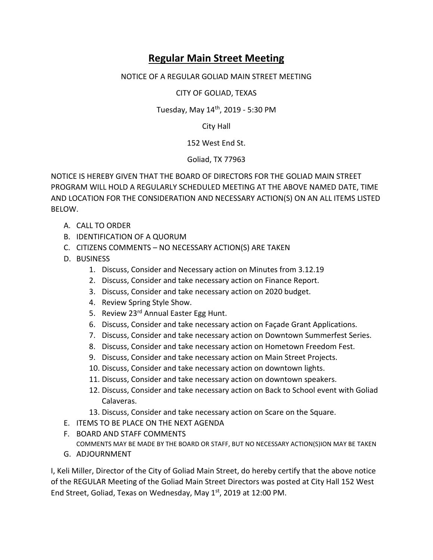## **Regular Main Street Meeting**

## NOTICE OF A REGULAR GOLIAD MAIN STREET MEETING

CITY OF GOLIAD, TEXAS

Tuesday, May 14th, 2019 - 5:30 PM

City Hall

152 West End St.

Goliad, TX 77963

NOTICE IS HEREBY GIVEN THAT THE BOARD OF DIRECTORS FOR THE GOLIAD MAIN STREET PROGRAM WILL HOLD A REGULARLY SCHEDULED MEETING AT THE ABOVE NAMED DATE, TIME AND LOCATION FOR THE CONSIDERATION AND NECESSARY ACTION(S) ON AN ALL ITEMS LISTED BELOW.

- A. CALL TO ORDER
- B. IDENTIFICATION OF A QUORUM
- C. CITIZENS COMMENTS NO NECESSARY ACTION(S) ARE TAKEN
- D. BUSINESS
	- 1. Discuss, Consider and Necessary action on Minutes from 3.12.19
	- 2. Discuss, Consider and take necessary action on Finance Report.
	- 3. Discuss, Consider and take necessary action on 2020 budget.
	- 4. Review Spring Style Show.
	- 5. Review 23<sup>rd</sup> Annual Easter Egg Hunt.
	- 6. Discuss, Consider and take necessary action on Façade Grant Applications.
	- 7. Discuss, Consider and take necessary action on Downtown Summerfest Series.
	- 8. Discuss, Consider and take necessary action on Hometown Freedom Fest.
	- 9. Discuss, Consider and take necessary action on Main Street Projects.
	- 10. Discuss, Consider and take necessary action on downtown lights.
	- 11. Discuss, Consider and take necessary action on downtown speakers.
	- 12. Discuss, Consider and take necessary action on Back to School event with Goliad Calaveras.
	- 13. Discuss, Consider and take necessary action on Scare on the Square.
- E. ITEMS TO BE PLACE ON THE NEXT AGENDA
- F. BOARD AND STAFF COMMENTS
	- COMMENTS MAY BE MADE BY THE BOARD OR STAFF, BUT NO NECESSARY ACTION(S)ION MAY BE TAKEN
- G. ADJOURNMENT

I, Keli Miller, Director of the City of Goliad Main Street, do hereby certify that the above notice of the REGULAR Meeting of the Goliad Main Street Directors was posted at City Hall 152 West End Street, Goliad, Texas on Wednesday, May 1<sup>st</sup>, 2019 at 12:00 PM.